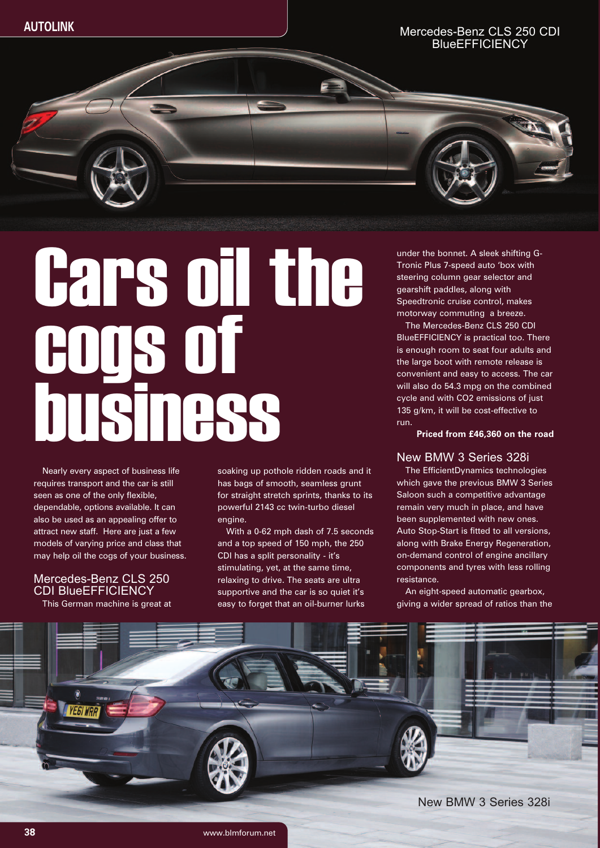## Mercedes-Benz CLS 250 CDI **BlueEFFICIENCY**

# Cars oil the cogs of business

Nearly every aspect of business life requires transport and the car is still seen as one of the only flexible, dependable, options available. It can also be used as an appealing offer to attract new staff. Here are just a few models of varying price and class that may help oil the cogs of your business.

# Mercedes-Benz CLS 250 CDI BlueEFFICIENCY

This German machine is great at

soaking up pothole ridden roads and it has bags of smooth, seamless grunt for straight stretch sprints, thanks to its powerful 2143 cc twin-turbo diesel engine.

With a 0-62 mph dash of 7.5 seconds and a top speed of 150 mph, the 250 CDI has a split personality - it's stimulating, yet, at the same time, relaxing to drive. The seats are ultra supportive and the car is so quiet it's easy to forget that an oil-burner lurks

under the bonnet. A sleek shifting G-Tronic Plus 7-speed auto 'box with steering column gear selector and gearshift paddles, along with Speedtronic cruise control, makes motorway commuting a breeze.

The Mercedes-Benz CLS 250 CDI BlueEFFICIENCY is practical too. There is enough room to seat four adults and the large boot with remote release is convenient and easy to access. The car will also do 54.3 mpg on the combined cycle and with CO2 emissions of just 135 g/km, it will be cost-effective to run.

**Priced from £46,360 on the road**

# New BMW 3 Series 328i

The EfficientDynamics technologies which gave the previous BMW 3 Series Saloon such a competitive advantage remain very much in place, and have been supplemented with new ones. Auto Stop-Start is fitted to all versions, along with Brake Energy Regeneration, on-demand control of engine ancillary components and tyres with less rolling resistance.

An eight-speed automatic gearbox, giving a wider spread of ratios than the



New BMW 3 Series 328i